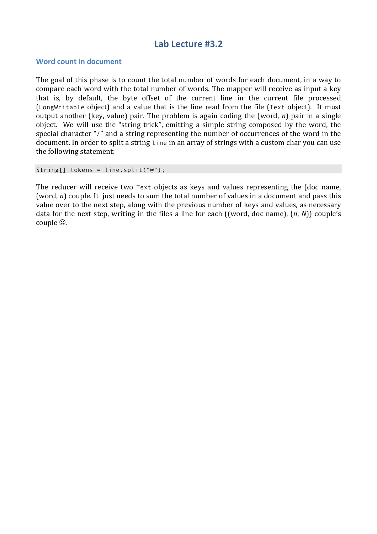## Lab Lecture #3.2

## **Word count in document**

The goal of this phase is to count the total number of words for each document, in a way to compare each word with the total number of words. The mapper will receive as input a key that is, by default, the byte offset of the current line in the current file processed (LongWritable object) and a value that is the line read from the file (Text object). It must output another (key, value) pair. The problem is again coding the (word,  $n$ ) pair in a single object. We will use the "string trick", emitting a simple string composed by the word, the special character "/" and a string representing the number of occurrences of the word in the document. In order to split a string line in an array of strings with a custom char you can use the following statement:

```
String[] tokens = line.split("@");
```
The reducer will receive two Text objects as keys and values representing the (doc name, (word,  $n$ ) couple. It just needs to sum the total number of values in a document and pass this value over to the next step, along with the previous number of keys and values, as necessary data for the next step, writing in the files a line for each ((word, doc name),  $(n, N)$ ) couple's couple  $\odot$ .